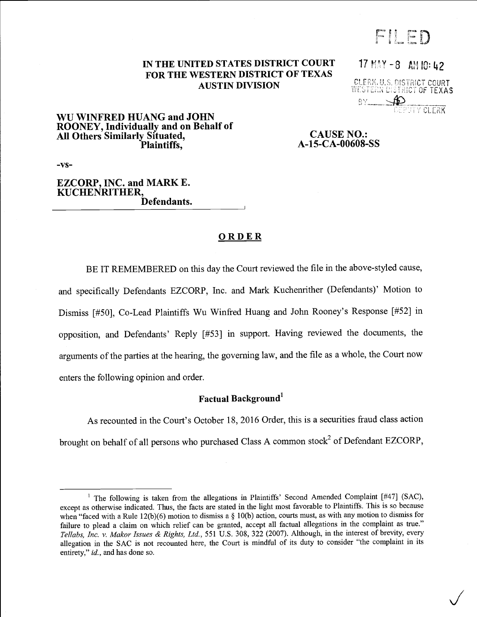FILED

# IN THE UNITED STATES DISTRICT COURT  $17$  MAY -8 AM 10: 42 FOR THE WESTERN DISTRICT OF TEXAS<br>AUSTIN DIVISION BELEGK, U.S. DISTRICT COURT

AUSTIN DIVISION <sup>r</sup>CCCURT - .. O TEXAS

## WU WINFRED HUANG and JOHN ROONEY, Individually and on Behalf of All Others Similarly Situated,<br>Plaintiffs, Bill Channel CAUSE NO.:<br>Plaintiffs, A-15-CA-00608-

A-15-CA-00608-SS

-vs-

#### EZCORP, INC. and MARK E. KUCHENRITHER, Defendants.

## ORDER

BE IT REMEMBERED on this day the Court reviewed the file in the above-styled cause, and specifically Defendants EZCORP, Inc. and Mark Kuchenrither (Defendants)' Motion to Dismiss [#50], Co-Lead Plaintiffs Wu Winfred Huang and John Rooney's Response [#52] in opposition, and Defendants' Reply [#53] in support. Having reviewed the documents, the arguments of the parties at the hearing, the governing law, and the file as a whole, the Court now enters the following opinion and order.

## Factual Background<sup>1</sup>

As recounted in the Court's October 18, 2016 Order, this is a securities fraud class action brought on behalf of all persons who purchased Class A common stock<sup>2</sup> of Defendant EZCORP,

<sup>&</sup>lt;sup>1</sup> The following is taken from the allegations in Plaintiffs' Second Amended Complaint  $[#47]$  (SAC), except as otherwise indicated. Thus, the facts are stated in the light most favorable to Plaintiffs. This is so because when "faced with a Rule 12(b)(6) motion to dismiss a  $\S$  10(b) action, courts must, as with any motion to dismiss for failure to plead a claim on which relief can be granted, accept all factual allegations in the complaint as true." Tellabs, Inc. v. Makor Issues & Rights, Ltd., 551 U.S. 308, 322 (2007). Although, in the interest of brevity, every allegation in the SAC is not recounted here, the Court is mindful of its duty to consider "the complaint in its entirety," id., and has done so.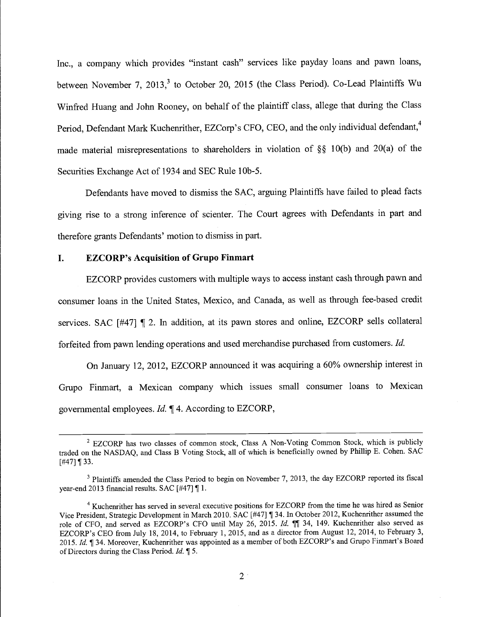Inc., a company which provides "instant cash" services like payday loans and pawn loans, between November 7, 2013,<sup>3</sup> to October 20, 2015 (the Class Period). Co-Lead Plaintiffs Wu Winfred Huang and John Rooney, on behalf of the plaintiff class, allege that during the Class Period, Defendant Mark Kuchenrither, EZCorp's CFO, CEO, and the only individual defendant,<sup>4</sup> made material misrepresentations to shareholders in violation of  $\S$ § 10(b) and 20(a) of the Securities Exchange Act of 1934 and SEC Rule 10b-5.

Defendants have moved to dismiss the SAC, arguing Plaintiffs have failed to plead facts giving rise to a strong inference of scienter. The Court agrees with Defendants in part and therefore grants Defendants' motion to dismiss in part.

## I. EZCORP's Acquisition of Grupo Finmart

EZCORP provides customers with multiple ways to access instant cash through pawn and consumer loans in the United States, Mexico, and Canada, as well as through fee-based credit services. SAC [#47] ¶ 2. In addition, at its pawn stores and online, EZCORP sells collateral forfeited from pawn lending operations and used merchandise purchased from customers. Id.

On January 12, 2012, EZCORP announced it was acquiring a 60% ownership interest in Grupo Finmart, a Mexican company which issues small consumer loans to Mexican governmental employees. Id. ¶ 4. According to EZCORP,

<sup>&</sup>lt;sup>2</sup> EZCORP has two classes of common stock, Class A Non-Voting Common Stock, which is publicly traded on the NASDAQ, and Class B Voting Stock, all of which is beneficially owned by Phillip E. Cohen. SAC  $[$ #47] ¶ 33.

<sup>&</sup>lt;sup>3</sup> Plaintiffs amended the Class Period to begin on November 7, 2013, the day EZCORP reported its fiscal year-end 2013 financial results. SAC [#47] ¶ 1.

<sup>&</sup>lt;sup>4</sup> Kuchenrither has served in several executive positions for EZCORP from the time he was hired as Senior Vice President, Strategic Development in March 2010. SAC [#47] ¶ 34. In October 2012, Kuchenrither assumed the role of CFO, and served as EZCORP's CFO until May 26, 2015. Id. [ 34, 149. Kuchenrither also served as EZCORP's CEO from July 18, 2014, to February 1, 2015, and as a director from August 12, 2014, to February 3, 2015. Id. ¶ 34. Moreover, Kuchenrither was appointed as a member of both EZCORP's and Grupo Finmart's Board of Directors during the Class Period. Id. ¶ 5.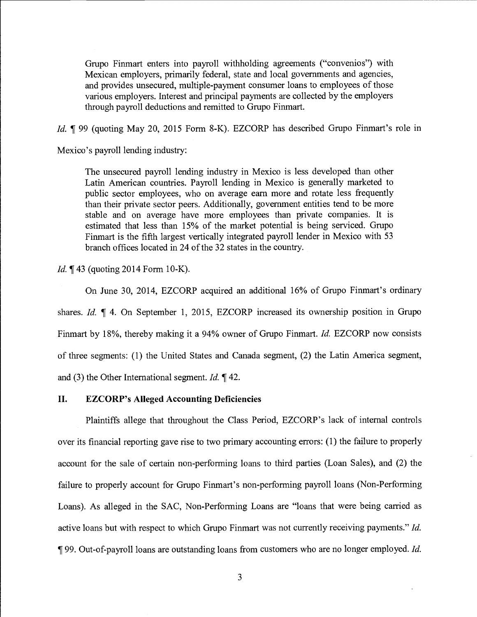Grupo Finmart enters into payroll withholding agreements ("convenios") with Mexican employers, primarily federal, state and local governments and agencies, and provides unsecured, multiple-payment consumer loans to employees of those various employers. Interest and principal payments are collected by the employers through payroll deductions and remitted to Grupo Finmart.

Id. ¶ 99 (quoting May 20, 2015 Form 8-K). EZCORP has described Grupo Finmart's role in

Mexico's payroll lending industry:

The unsecured payroll lending industry in Mexico is less developed than other Latin American countries. Payroll lending in Mexico is generally marketed to public sector employees, who on average earn more and rotate less frequently than their private sector peers. Additionally, government entities tend to be more stable and on average have more employees than private companies. It is estimated that less than 15% of the market potential is being serviced. Grupo Finmart is the fifth largest vertically integrated payroll lender in Mexico with 53 branch offices located in 24 of the 32 states in the country.

Id. ¶43 (quoting 2014 Form 10-K).

On June 30, 2014, EZCORP acquired an additional 16% of Grupo Finmart's ordinary shares. Id. ¶ 4. On September 1, 2015, EZCORP increased its ownership position in Grupo Finmart by 18%, thereby making it a 94% owner of Grupo Finmart. Id. EZCORP now consists of three segments: (1) the United States and Canada segment, (2) the Latin America segment, and (3) the Other International segment. *Id.*  $\P$  42.

## II. EZCORP's Alleged Accounting Deficiencies

Plaintiffs allege that throughout the Class Period, EZCORP's lack of internal controls over its financial reporting gave rise to two primary accounting errors: (1) the failure to properly account for the sale of certain non-performing loans to third parties (Loan Sales), and (2) the failure to properly account for Grupo Finmart's non-performing payroll loans (Non-Performing Loans). As alleged in the SAC, Non-Performing Loans are "loans that were being carried as active loans but with respect to which Grupo Finmart was not currently receiving payments." Id. ¶ 99. Out-of-payroll loans are outstanding loans from customers who are no longer employed. Id.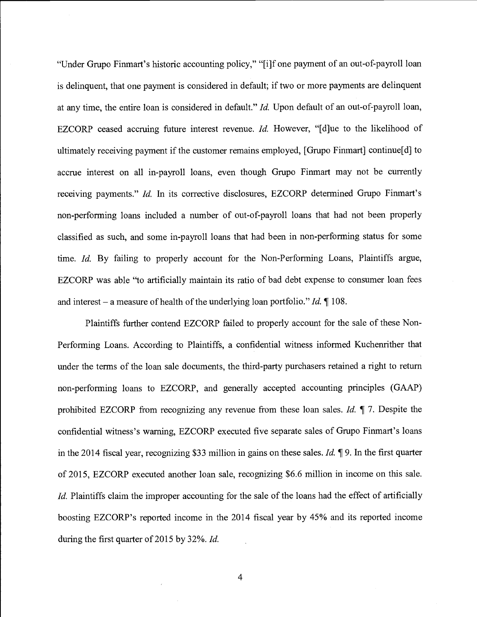"Under Grupo Finmart's historic accounting policy," "[i]f one payment of an out-of-payroll loan is delinquent, that one payment is considered in default; if two or more payments are delinquent at any time, the entire loan is considered in default." Id. Upon default of an out-of-payroll loan, EZCORP ceased accruing future interest revenue. *Id.* However, "[d]ue to the likelihood of ultimately receiving payment if the customer remains employed, [Grupo Finmart] continue[d] to accrue interest on all in-payroll loans, even though Grupo Finmart may not be currently receiving payments." *Id.* In its corrective disclosures, EZCORP determined Grupo Finmart's non-performing loans included a number of out-of-payroll loans that had not been properly classified as such, and some in-payroll loans that had been in non-performing status for some time. Id. By failing to properly account for the Non-Performing Loans, Plaintiffs argue, EZCORP was able "to artificially maintain its ratio of bad debt expense to consumer loan fees and interest – a measure of health of the underlying loan portfolio." Id.  $\P$  108.

Plaintiffs further contend EZCORP failed to properly account for the sale of these Non-Performing Loans. According to Plaintiffs, a confidential witness informed Kuchenrither that under the terms of the loan sale documents, the third-party purchasers retained a right to return non-performing loans to EZCORP, and generally accepted accounting principles (GAAP) prohibited EZCORP from recognizing any revenue from these loan sales. Id.  $\P$  7. Despite the confidential witness's warning, EZCORP executed five separate sales of Grupo Finmart's loans in the 2014 fiscal year, recognizing \$33 million in gains on these sales. Id.  $\parallel$  9. In the first quarter of 2015, EZCORP executed another loan sale, recognizing \$6.6 million in income on this sale. Id. Plaintiffs claim the improper accounting for the sale of the loans had the effect of artificially boosting EZCORP's reported income in the 2014 fiscal year by 45% and its reported income during the first quarter of 2015 by 32%. Id.

 $\overline{4}$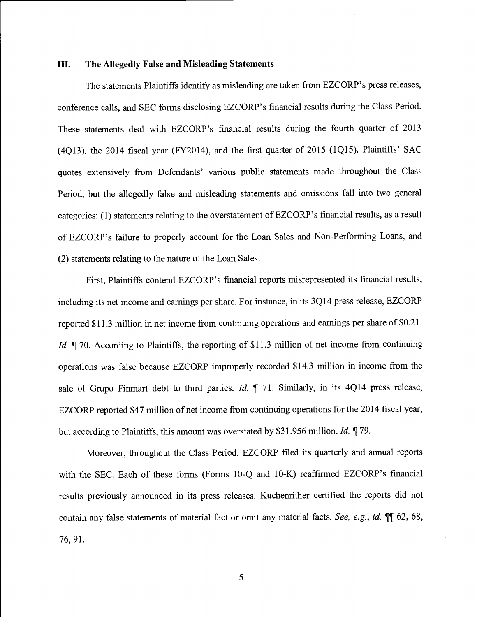#### III. The Allegedly False and Misleading Statements

The statements Plaintiffs identify as misleading are taken from EZCORP's press releases, conference calls, and SEC forms disclosing EZCORP's financial results during the Class Period. These statements deal with EZCORP's financial results during the fourth quarter of 2013 (4Q13), the 2014 fiscal year (FY2014), and the first quarter of 2015 (1Q15). Plaintiffs' SAC quotes extensively from Defendants' various public statements made throughout the Class Period, but the allegedly false and misleading statements and omissions fall into two general categories: (1) statements relating to the overstatement of EZCORP's financial results, as a result of EZCORP's failure to properly account for the Loan Sales and Non-Performing Loans, and (2) statements relating to the nature of the Loan Sales.

First, Plaintiffs contend EZCORP's financial reports misrepresented its financial results, including its net income and earnings per share. For instance, in its 3Q14 press release, EZCORP reported \$11.3 million in net income from continuing operations and earnings per share of \$0.21. Id. ¶ 70. According to Plaintiffs, the reporting of \$11.3 million of net income from continuing operations was false because EZCORP improperly recorded \$14.3 million in income from the sale of Grupo Finmart debt to third parties. *Id.*  $\parallel$  71. Similarly, in its 4Q14 press release, EZCORP reported \$47 million of net income from continuing operations for the 2014 fiscal year, but according to Plaintiffs, this amount was overstated by \$31.956 million. *Id.* 179.

Moreover, throughout the Class Period, EZCORP filed its quarterly and annual reports with the SEC. Each of these forms (Forms 10-Q and 10-K) reaffirmed EZCORP's financial results previously announced in its press releases. Kuchenrither certified the reports did not contain any false statements of material fact or omit any material facts. See, e.g., id. II 62, 68, 76, 91.

 $5\overline{)}$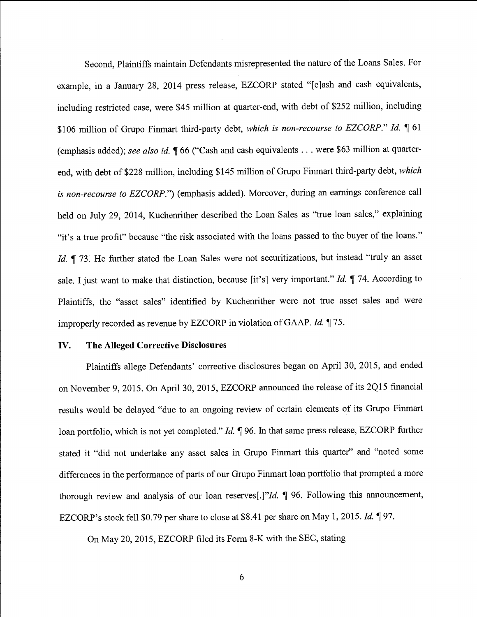Second, Plaintiffs maintain Defendants misrepresented the nature of the Loans Sales. For example, in a January 28, 2014 press release, EZCORP stated "[c]ash and cash equivalents, including restricted case, were \$45 million at quarter-end, with debt of \$252 million, including \$106 million of Grupo Finmart third-party debt, which is non-recourse to EZCORP." Id. ¶ 61 (emphasis added); see also id. 166 ("Cash and cash equivalents . . . were \$63 million at quarterend, with debt of \$228 million, including \$145 million of Grupo Finmart third-party debt, which is non-recourse to EZCORP.") (emphasis added). Moreover, during an earnings conference call held on July 29, 2014, Kuchenrither described the Loan Sales as "true loan sales," explaining "it's a true profit" because "the risk associated with the loans passed to the buyer of the loans." Id. ¶ 73. He further stated the Loan Sales were not securitizations, but instead "truly an asset sale. I just want to make that distinction, because [it's] very important." Id.  $\P$  74. According to Plaintiffs, the "asset sales" identified by Kuchenrither were not true asset sales and were improperly recorded as revenue by EZCORP in violation of GAAP. Id. ¶ 75.

#### IV. The Alleged Corrective Disclosures

Plaintiffs allege Defendants' corrective disclosures began on April 30, 2015, and ended on November 9, 2015. On April 30, 2015, EZCORP announced the release of its 2Q15 financial results would be delayed "due to an ongoing review of certain elements of its Grupo Finmart loan portfolio, which is not yet completed." Id. ¶ 96. In that same press release, EZCORP further stated it "did not undertake any asset sales in Grupo Finmart this quarter" and "noted some differences in the performance of parts of our Grupo Finmart loan portfolio that prompted a more thorough review and analysis of our loan reserves[.]"Id. ¶ 96. Following this announcement, EZCORP's stock fell \$0.79 per share to close at \$8.41 per share on May 1, 2015. Id. ¶ 97.

On May 20, 2015, EZCORP filed its Form 8-K with the SEC, stating

6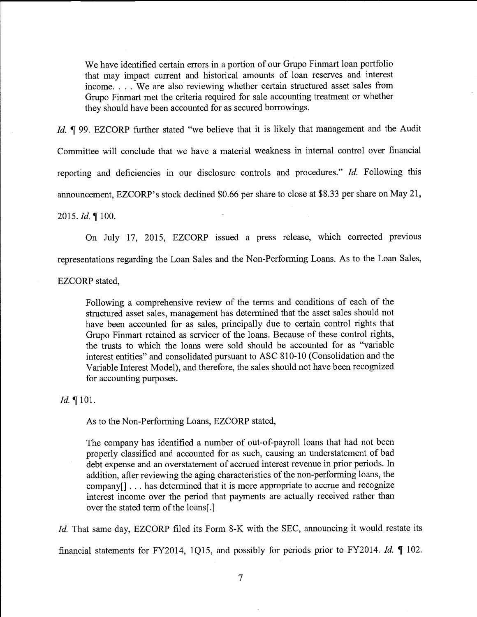We have identified certain errors in a portion of our Grupo Finmart loan portfolio that may impact current and historical amounts of loan reserves and interest income. . . . We are also reviewing whether certain structured asset sales from Grupo Finmart met the criteria required for sale accounting treatment or whether they should have been accounted for as secured borrowings.

Id. ¶ 99. EZCORP further stated "we believe that it is likely that management and the Audit Committee will conclude that we have a material weakness in internal control over financial reporting and deficiencies in our disclosure controls and procedures." Id. Following this announcement, EZCORP's stock declined \$0.66 per share to close at \$8.33 per share on May 21,

## 2015. *Id.*  $\P$  100.

On July 17, 2015, EZCORP issued a press release, which corrected previous representations regarding the Loan Sales and the Non-Performing Loans. As to the Loan Sales,

EZCORP stated,

Following a comprehensive review of the terms and conditions of each of the structured asset sales, management has determined that the asset sales should not have been accounted for as sales, principally due to certain control rights that Grupo Finmart retained as servicer of the loans. Because of these control rights, the trusts to which the loans were sold should be accounted for as "variable interest entities" and consolidated pursuant to ASC 810-10 (Consolidation and the Variable Interest Model), and therefore, the sales should not have been recognized for accounting purposes.

#### Id. ¶ 101.

As to the Non-Performing Loans, EZCORP stated,

The company has identified a number of out-of-payroll loans that had not been properly classified and accounted for as such, causing an understatement of bad debt expense and an overstatement of accrued interest revenue in prior periods. In addition, after reviewing the aging characteristics of the non-performing loans, the company[] . . . has determined that it is more appropriate to accrue and recognize interest income over the period that payments are actually received rather than over the stated term of the loans[.]

Id. That same day, EZCORP filed its Form 8-K with the SEC, announcing it would restate its financial statements for FY2014, 1Q15, and possibly for periods prior to FY2014. Id. ¶ 102.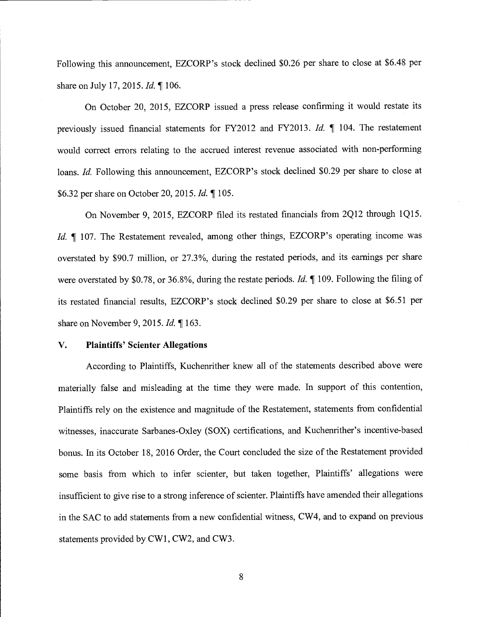Following this announcement, EZCORP's stock declined \$0.26 per share to close at \$6.48 per share on July 17, 2015. *Id.* 106.

On October 20, 2015, EZCORP issued a press release confirming it would restate its previously issued financial statements for FY2012 and FY2013. Id.  $\parallel$  104. The restatement would correct errors relating to the accrued interest revenue associated with non-performing loans. Id. Following this announcement, EZCORP's stock declined \$0.29 per share to close at \$6.32 per share on October 20, 2015. Id. ¶ 105.

On November 9, 2015, EZCORP filed its restated financials from 2Q12 through 1Q15. Id. ¶ 107. The Restatement revealed, among other things, EZCORP's operating income was overstated by \$90.7 million, or 27.3%, during the restated periods, and its earnings per share were overstated by \$0.78, or 36.8%, during the restate periods. *Id.*  $\parallel$  109. Following the filing of its restated financial results, EZCORP's stock declined \$0.29 per share to close at \$6.51 per share on November 9, 2015. Id. ¶ 163.

#### V. Plaintiffs' Scienter Allegations

According to Plaintiffs, Kuchenrither knew all of the statements described above were materially false and misleading at the time they were made. In support of this contention, Plaintiffs rely on the existence and magnitude of the Restatement, statements from confidential witnesses, inaccurate Sarbanes-Oxley (SOX) certifications, and Kuchenrither's incentive-based bonus. In its October 18, 2016 Order, the Court concluded the size of the Restatement provided some basis from which to infer scienter, but taken together, Plaintiffs' allegations were insufficient to give rise to a strong inference of scienter. Plaintiffs have amended their allegations in the SAC to add statements from a new confidential witness, CW4, and to expand on previous statements provided by CW1, CW2, and CW3.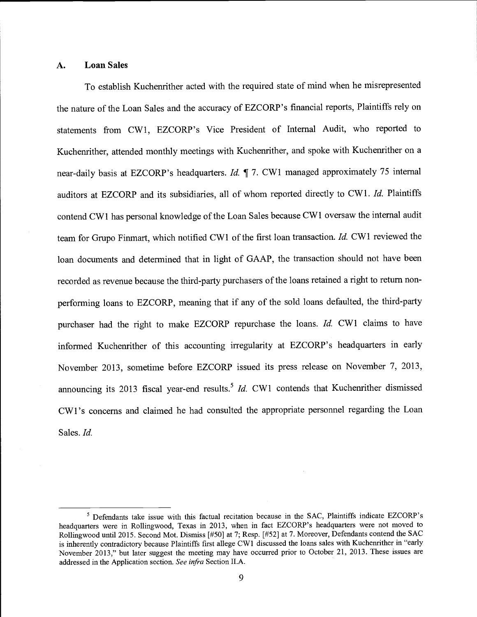## A. Loan Sales

To establish Kuchenrither acted with the required state of mind when he misrepresented the nature of the Loan Sales and the accuracy of EZCORP's financial reports, Plaintiffs rely on statements from CW1, EZCORP's Vice President of Internal Audit, who reported to Kuchenrither, attended monthly meetings with Kuchenrither, and spoke with Kuchenrither on a near-daily basis at EZCORP's headquarters. Id. ¶ 7. CW1 managed approximately 75 internal auditors at EZCORP and its subsidiaries, all of whom reported directly to CW1. Id. Plaintiffs contend CW1 has personal knowledge of the Loan Sales because CW1 oversaw the internal audit team for Grupo Finmart, which notified CW1 of the first loan transaction. Id. CW1 reviewed the loan documents and determined that in light of GAAP, the transaction should not have been recorded as revenue because the third-party purchasers of the loans retained a right to return nonperforming loans to EZCORP, meaning that if any of the sold loans defaulted, the third-party purchaser had the right to make EZCORP repurchase the loans. Id. CW1 claims to have informed Kuchenrither of this accounting irregularity at EZCORP's headquarters in early November 2013, sometime before EZCORP issued its press release on November 7, 2013, announcing its 2013 fiscal year-end results.<sup>5</sup> Id. CW1 contends that Kuchenrither dismissed CW1 's concerns and claimed he had consulted the appropriate personnel regarding the Loan Sales. Id.

Defendants take issue with this factual recitation because in the SAC, Plaintiffs indicate EZCORP's headquarters were in Rollingwood, Texas in 2013, when in fact EZCORP's headquarters were not moved to Rollingwood until 2015. Second Mot. Dismiss [#50] at 7; Resp. [#52] at 7. Moreover, Defendants contend the SAC is inherently contradictory because Plaintiffs first allege CW1 discussed the loans sales with Kuchenrither in "early November 2013," but later suggest the meeting may have occurred prior to October 21, 2013. These issues are addressed in the Application section. See infra Section II.A.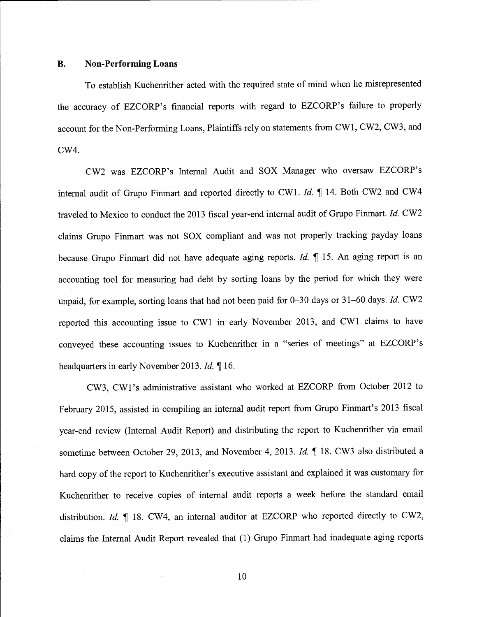#### B. Non-Performing Loans

To establish Kuchenrither acted with the required state of mind when he misrepresented the accuracy of EZCORP's financial reports with regard to EZCORP's failure to properly account for the Non-Performing Loans, Plaintiffs rely on statements from CW1, CW2, CW3, and CW4.

CW2 was EZCORP's Internal Audit and SOX Manager who oversaw EZCORP's internal audit of Grupo Finmart and reported directly to CW1. Id. ¶ 14. Both CW2 and CW4 traveled to Mexico to conduct the 2013 fiscal year-end internal audit of Grupo Finmart. Id. CW2 claims Grupo Finmart was not SOX compliant and was not properly tracking payday loans because Grupo Finmart did not have adequate aging reports. Id. 15. An aging report is an accounting tool for measuring bad debt by sorting loans by the period for which they were unpaid, for example, sorting loans that had not been paid for 0-30 days or 31-60 days. Id. CW2 reported this accounting issue to CW1 in early November 2013, and CW1 claims to have conveyed these accounting issues to Kuchenrither in a "series of meetings" at EZCORP 's headquarters in early November 2013. Id. ¶ 16.

CW3, CW1 's administrative assistant who worked at EZCORP from October 2012 to February 2015, assisted in compiling an internal audit report from Grupo Finmart's 2013 fiscal year-end review (Internal Audit Report) and distributing the report to Kuchenrither via email sometime between October 29, 2013, and November 4, 2013. Id. ¶ 18. CW3 also distributed a hard copy of the report to Kuchenrither's executive assistant and explained it was customary for Kuchenrither to receive copies of internal audit reports a week before the standard email distribution. Id.  $\P$  18. CW4, an internal auditor at EZCORP who reported directly to CW2, claims the Internal Audit Report revealed that (1) Grupo Finmart had inadequate aging reports

10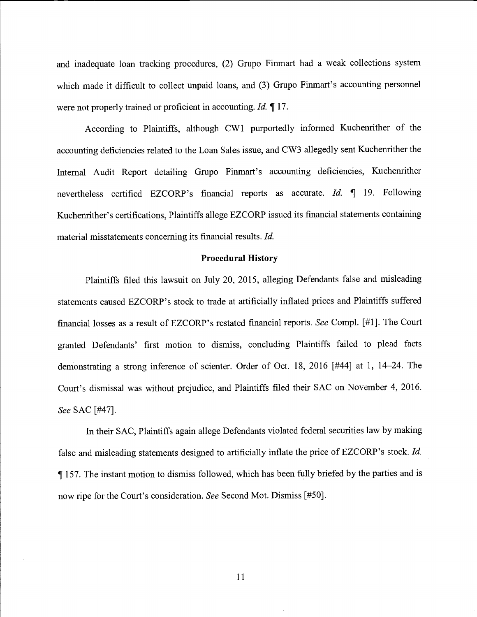and inadequate loan tracking procedures, (2) Grupo Finmart had a weak collections system which made it difficult to collect unpaid loans, and (3) Grupo Finmart's accounting personnel were not properly trained or proficient in accounting. *Id.* 17.

According to Plaintiffs, although CW1 purportedly informed Kuchenrither of the accounting deficiencies related to the Loan Sales issue, and CW3 allegedly sent Kuchenrither the Internal Audit Report detailing Grupo Finmart's accounting deficiencies, Kuchenrither nevertheless certified EZCORP's financial reports as accurate. *Id.*  $\parallel$  19. Following Kuchenrither's certifications, Plaintiffs allege EZCORP issued its financial statements containing material misstatements concerning its financial results. Id.

#### Procedural History

Plaintiffs filed this lawsuit on July 20, 2015, alleging Defendants false and misleading statements caused EZCORP 's stock to trade at artificially inflated prices and Plaintiffs suffered financial losses as a result of EZCORP's restated financial reports. See Compl. [#1]. The Court granted Defendants' first motion to dismiss, concluding Plaintiffs failed to plead facts demonstrating a strong inference of scienter. Order of Oct. 18, 2016 {#44] at 1, 14-24. The Court's dismissal was without prejudice, and Plaintiffs filed their SAC on November 4, 2016. See SAC [#47].

In their SAC, Plaintiffs again allege Defendants violated federal securities law by making false and misleading statements designed to artificially inflate the price of EZCORP's stock. Id. ¶ 157. The instant motion to dismiss followed, which has been fully briefed by the parties and is now ripe for the Court's consideration. See Second Mot. Dismiss [#50].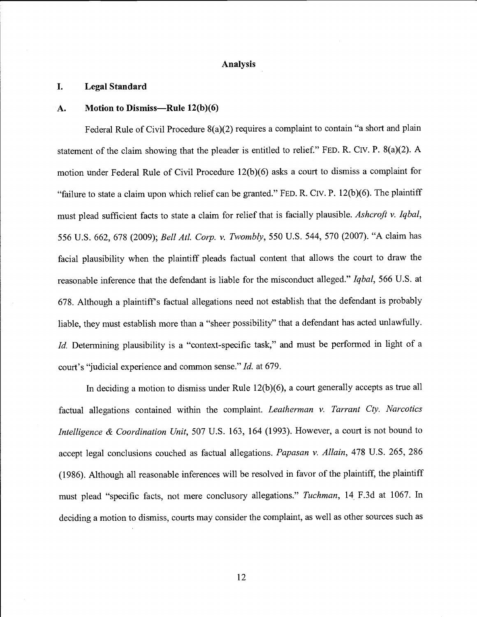#### Analysis

#### I. Legal Standard

#### $A.$  Motion to Dismiss—Rule  $12(b)(6)$

Federal Rule of Civil Procedure 8(a)(2) requires a complaint to contain "a short and plain statement of the claim showing that the pleader is entitled to relief." FED. R. CIV. P.  $8(a)(2)$ . A motion under Federal Rule of Civil Procedure 12(b)(6) asks a court to dismiss a complaint for "failure to state a claim upon which relief can be granted." FED. R. CIV. P. 12(b)(6). The plaintiff must plead sufficient facts to state a claim for relief that is facially plausible. Ashcroft v. Iqbal, 556 U.S. 662, 678 (2009); Bell Atl. Corp. v. Twombly, 550 U.S. 544, 570 (2007). "A claim has facial plausibility when the plaintiff pleads factual content that allows the court to draw the reasonable inference that the defendant is liable for the misconduct alleged." Iqbal, 566 U.S. at 678. Although a plaintiff's factual allegations need not establish that the defendant is probably liable, they must establish more than a "sheer possibility" that a defendant has acted unlawfully. Id. Determining plausibility is a "context-specific task," and must be performed in light of a court's "judicial experience and common sense." Id. at 679.

In deciding a motion to dismiss under Rule  $12(b)(6)$ , a court generally accepts as true all factual allegations contained within the complaint. Leatherman  $v$ . Tarrant Cty. Narcotics Intelligence & Coordination Unit, 507 U.S. 163, 164 (1993). However, a court is not bound to accept legal conclusions couched as factual allegations. Papasan v. Allain, 478 U.S. 265, 286 (1986). Although all reasonable inferences will be resolved in favor of the plaintiff, the plaintiff must plead "specific facts, not mere conclusory allegations." Tuchman, 14 F.3d at 1067. In deciding a motion to dismiss, courts may consider the complaint, as well as other sources such as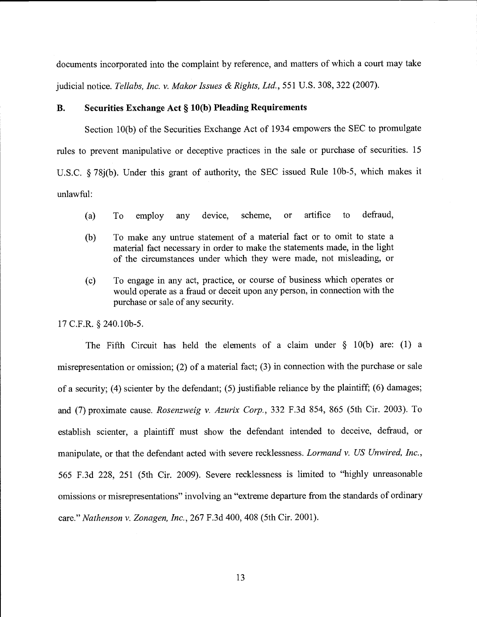documents incorporated into the complaint by reference, and matters of which a court may take judicial notice. Tellabs, Inc. v. Makor Issues & Rights, Ltd., 551 U.S. 308, 322 (2007).

#### B. Securities Exchange Act § 10(b) Pleading Requirements

Section 10(b) of the Securities Exchange Act of 1934 empowers the SEC to promulgate rules to prevent manipulative or deceptive practices in the sale or purchase of securities. <sup>15</sup> U.S.C. § 78j(b). Under this grant of authority, the SEC issued Rule lOb-5, which makes it unlawful:

- (a) To employ any device, scheme, or artifice to defraud,
- (b) To make any untrue statement of a material fact or to omit to state a material fact necessary in order to make the statements made, in the light of the circumstances under which they were made, not misleading, or
- (c) To engage in any act, practice, or course of business which operates or would operate as a fraud or deceit upon any person, in connection with the purchase or sale of any security.

17 C.F.R. § 240.lOb-5.

The Fifth Circuit has held the elements of a claim under § 10(b) are: (1) a misrepresentation or omission; (2) of a material fact; (3) in connection with the purchase or sale of a security; (4) scienter by the defendant; (5) justifiable reliance by the plaintiff; (6) damages; and (7) proximate cause. Rosenzweig v. Azurix Corp., 332 F.3d 854, 865 (5th Cir. 2003). To establish scienter, a plaintiff must show the defendant intended to deceive, defraud, or manipulate, or that the defendant acted with severe recklessness. Lormand v. US Unwired, Inc., 565 F.3d 228, 251 (5th Cir. 2009). Severe recklessness is limited to "highly unreasonable omissions or misrepresentations" involving an "extreme departure from the standards of ordinary care." Nathenson v. Zonagen, Inc., 267 F.3d 400, 408 (5th Cir. 2001).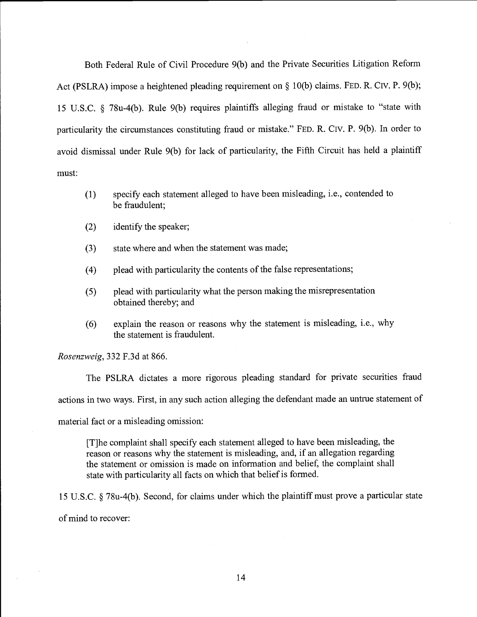Both Federal Rule of Civil Procedure 9(b) and the Private Securities Litigation Reform Act (PSLRA) impose a heightened pleading requirement on § 10(b) claims. FED. R. Civ. P. 9(b); <sup>15</sup>U.S.C. § 78u-4(b). Rule 9(b) requires plaintiffs alleging fraud or mistake to "state with particularity the circumstances constituting fraud or mistake." FED. R. CIV. P. 9(b). In order to avoid dismissal under Rule 9(b) for lack of particularity, the Fifth Circuit has held a plaintiff must:

- (1) specify each statement alleged to have been misleading, i.e., contended to be fraudulent;
- (2) identify the speaker;
- (3) state where and when the statement was made;
- (4) plead with particularity the contents of the false representations;
- (5) plead with particularity what the person making the misrepresentation obtained thereby; and
- (6) explain the reason or reasons why the statement is misleading, i.e., why the statement is fraudulent.

Rosenzweig, 332 F.3d at 866.

The PSLRA dictates a more rigorous pleading standard for private securities fraud actions in two ways. First, in any such action alleging the defendant made an untrue statement of material fact or a misleading omission:

[T]he complaint shall specify each statement alleged to have been misleading, the reason or reasons why the statement is misleading, and, if an allegation regarding the statement or omission is made on information and belief, the complaint shall state with particularity all facts on which that belief is formed.

<sup>15</sup>U.S.C. § 78u-4(b). Second, for claims under which the plaintiff must prove a particular state of mind to recover: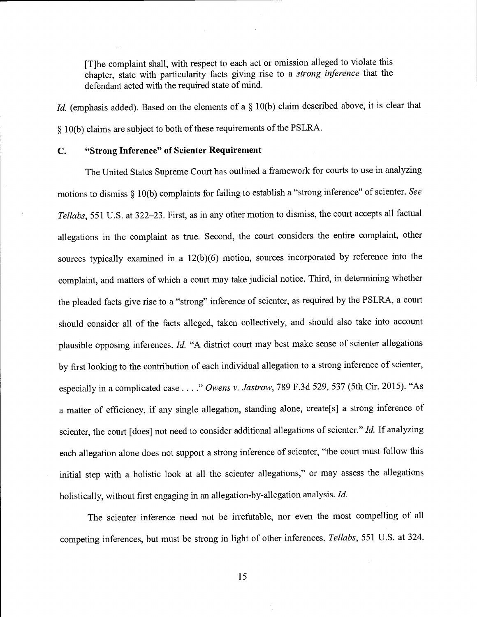[T]he complaint shall, with respect to each act or omission alleged to violate this chapter, state with particularity facts giving rise to a strong inference that the defendant acted with the required state of mind.

Id. (emphasis added). Based on the elements of a § 10(b) claim described above, it is clear that § 10(b) claims are subject to both of these requirements of the PSLRA.

## C. "Strong Inference" of Scienter Requirement

The United States Supreme Court has outlined a framework for courts to use in analyzing motions to dismiss § 10(b) complaints for failing to establish a "strong inference" of scienter. See Tellabs, 551 U.S. at 322-23. First, as in any other motion to dismiss, the court accepts all factual allegations in the complaint as true. Second, the court considers the entire complaint, other sources typically examined in a 12(b)(6) motion, sources incorporated by reference into the complaint, and matters of which a court may take judicial notice. Third, in determining whether the pleaded facts give rise to a "strong" inference of scienter, as required by the PSLRA, a court should consider all of the facts alleged, taken collectively, and should also take into account plausible opposing inferences. Id. "A district court may best make sense of scienter allegations by first looking to the contribution of each individual allegation to a strong inference of scienter, especially in a complicated case . . . ." Owens v. Jastrow, 789 F.3d 529, 537 (5th Cir. 2015). "As a matter of efficiency, if any single allegation, standing alone, create[s] a strong inference of scienter, the court [does] not need to consider additional allegations of scienter." Id. If analyzing each allegation alone does not support a strong inference of scienter, "the court must follow this initial step with a holistic look at all the scienter allegations," or may assess the allegations holistically, without first engaging in an allegation-by-allegation analysis. Id.

The scienter inference need not be irrefutable, nor even the most compelling of all competing inferences, but must be strong in light of other inferences. Tellabs, 551 U.S. at 324.

15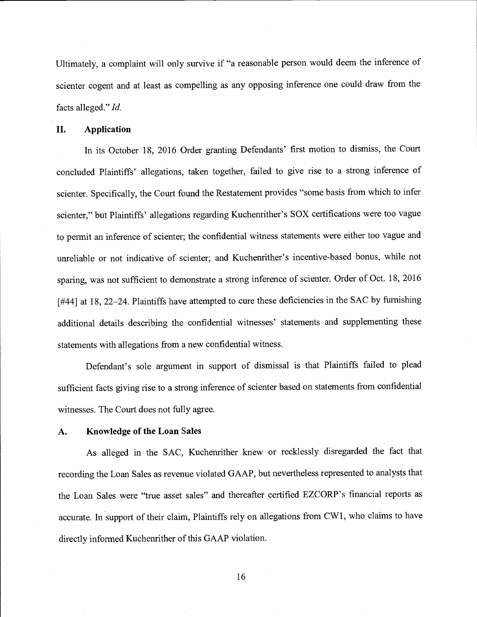Ultimately, a complaint will only survive if "a reasonable person would deem the inference of scienter cogent and at least as compelling as any opposing inference one could draw from the facts alleged." Id.

## II. Application

In its October 18, 2016 Order granting Defendants' first motion to dismiss, the Court concluded Plaintiffs' allegations, taken together, failed to give rise to a strong inference of scienter. Specifically, the Court found the Restatement provides "some basis from which to infer scienter," but Plaintiffs' allegations regarding Kuchenrither's SOX certifications were too vague to permit an inference of scienter; the confidential witness statements were either too vague and unreliable or not indicative of scienter; and Kuchenrither's incentive-based bonus, while not sparing, was not sufficient to demonstrate a strong inference of scienter. Order of Oct. 18, 2016 [#44] at 18, 22–24. Plaintiffs have attempted to cure these deficiencies in the SAC by furnishing additional details describing the confidential witnesses' statements and supplementing these statements with allegations from a new confidential witness.

Defendant's sole argument in support of dismissal is that Plaintiffs failed to plead sufficient facts giving rise to a strong inference of scienter based on statements from confidential witnesses. The Court does not fully agree.

#### A. Knowledge of the Loan Sales

As alleged in the SAC, Kuchenrither knew or recklessly disregarded the fact that recording the Loan Sales as revenue violated GAAP, but nevertheless represented to analysts that the Loan Sales were "true asset sales" and thereafter certified EZCORP's financial reports as accurate. In support of their claim, Plaintiffs rely on allegations from CW1, who claims to have directly informed Kuchenrither of this GAAP violation.

16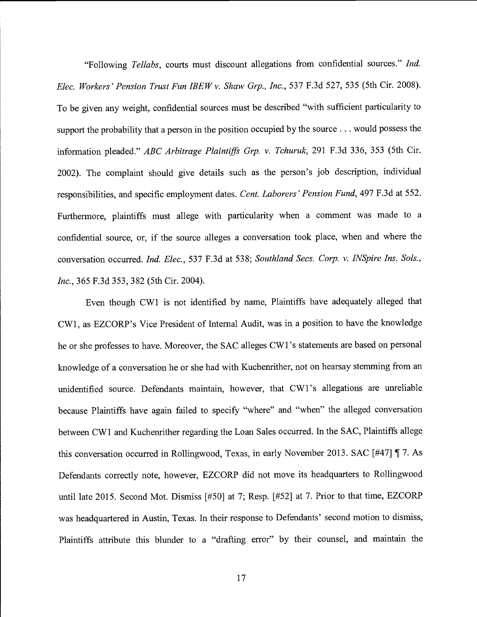"Following Tellabs, courts must discount allegations from confidential sources." Ind. Elec. Workers' Pension Trust Fun IBEW v. Shaw Grp., Inc., 537 F.3d 527, 535 (5th Cir. 2008). To be given any weight, confidential sources must be described "with sufficient particularity to support the probability that a person in the position occupied by the source.. . would possess the information pleaded." ABC Arbitrage Plaintiffs Grp. v. Tchuruk, 291 F.3d 336, 353 (5th Cir. 2002). The complaint should give details such as the person's job description, individual responsibilities, and specific employment dates. Cent. Laborers' Pension Fund, 497 F.3d at 552. Furthermore, plaintiffs must allege with particularity when a comment was made to a confidential source, or, if the source alleges a conversation took place, when and where the conversation occurred. Ind. Elec., 537 F.3d at 538; Southland Secs. Corp. v. INSpire Ins. Sols., Inc., 365 F.3d 353, 382 (5th Cir. 2004).

Even though CW1 is not identified by name, Plaintiffs have adequately alleged that CW1, as EZCORP's Vice President of Internal Audit, was in a position to have the knowledge he or she professes to have. Moreover, the SAC alleges CW1 's statements are based on personal knowledge of a conversation he or she had with Kuchenrither, not on hearsay stemming from an unidentified source. Defendants maintain, however, that CW1's allegations are unreliable because Plaintiffs have again failed to specify "where" and "when" the alleged conversation between CW1 and Kuchenrither regarding the Loan Sales occurred. In the SAC, Plaintiffs allege this conversation occurred in Rollingwood, Texas, in early November 2013. SAC [#47] ¶ 7. As Defendants correctly note, however, EZCORP did not move its headquarters to Rollingwood until late 2015. Second Mot. Dismiss [#50] at 7; Resp. [#52] at 7. Prior to that time, EZCORP was headquartered in Austin, Texas. In their response to Defendants' second motion to dismiss, Plaintiffs attribute this blunder to a "drafting error" by their counsel, and maintain the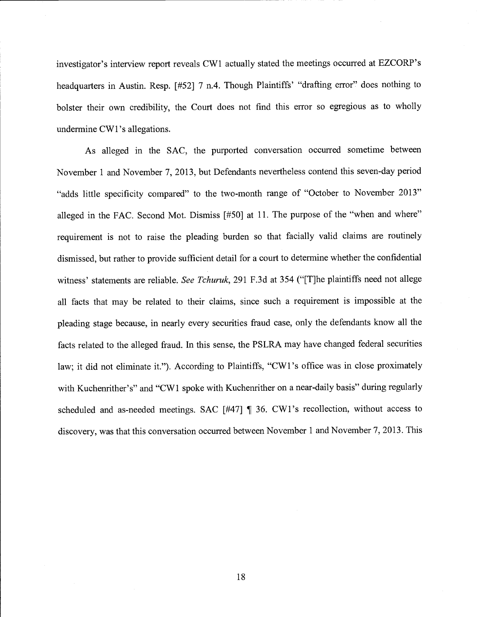investigator's interview report reveals CW1 actually stated the meetings occurred at EZCORP's headquarters in Austin. Resp. [#52] 7 n.4. Though Plaintiffs' "drafting error" does nothing to bolster their own credibility, the Court does not find this error so egregious as to wholly undermine CW1's allegations.

As alleged in the SAC, the purported conversation occurred sometime between November 1 and November 7, 2013, but Defendants nevertheless contend this seven-day period "adds little specificity compared" to the two-month range of "October to November 2013" alleged in the FAC. Second Mot. Dismiss [#50] at 11. The purpose of the "when and where" requirement is not to raise the pleading burden so that facially valid claims are routinely dismissed, but rather to provide sufficient detail for a court to determine whether the confidential witness' statements are reliable. See Tchuruk, 291 F.3d at 354 ("T]he plaintiffs need not allege all facts that may be related to their claims, since such a requirement is impossible at the pleading stage because, in nearly every securities fraud case, only the defendants know all the facts related to the alleged fraud. In this sense, the PSLRA may have changed federal securities law; it did not eliminate it."). According to Plaintiffs, "CW1 's office was in close proximately with Kuchenrither's" and "CW1 spoke with Kuchenrither on a near-daily basis" during regularly scheduled and as-needed meetings. SAC [#47] ¶ 36. CW1's recollection, without access to discovery, was that this conversation occurred between November 1 and November 7, 2013. This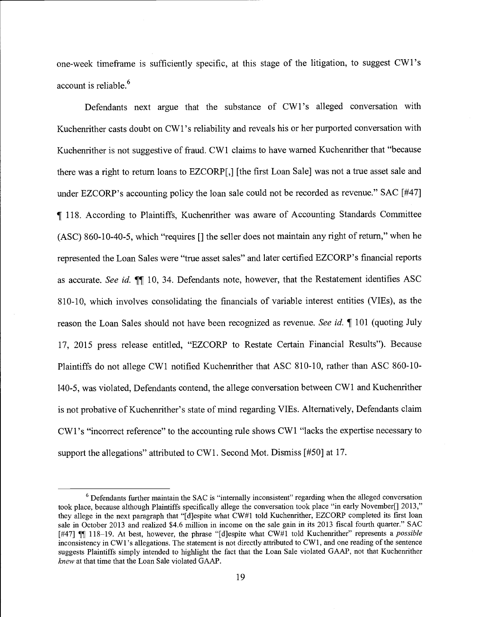one-week timeframe is sufficiently specific, at this stage of the litigation, to suggest CW l's account is reliable.<sup>6</sup>

Defendants next argue that the substance of CW1's alleged conversation with Kuchenrither casts doubt on CW1 's reliability and reveals his or her purported conversation with Kuchenrither is not suggestive of fraud. CW1 claims to have warned Kuchenrither that "because there was a right to return loans to EZCORP[,] [the first Loan Sale] was not a true asset sale and under EZCORP's accounting policy the loan sale could not be recorded as revenue." SAC [#47] ¶ 118. According to Plaintiffs, Kuchenrither was aware of Accounting Standards Committee (ASC) 860-10-40-5, which "requires  $\lceil \rceil$  the seller does not maintain any right of return," when he represented the Loan Sales were "true asset sales" and later certified EZCORP's financial reports as accurate. See id.  $\P$ [10, 34. Defendants note, however, that the Restatement identifies ASC 810-10, which involves consolidating the financials of variable interest entities (VIEs), as the reason the Loan Sales should not have been recognized as revenue. See id. 101 (quoting July 17, 2015 press release entitled, "EZCORP to Restate Certain Financial Results"). Because Plaintiffs do not allege CW1 notified Kuchenrither that ASC 810-10, rather than ASC 860-10- 140-5, was violated, Defendants contend, the allege conversation between CW1 and Kuchenrither is not probative of Kuchenrither's state of mind regarding VIEs. Alternatively, Defendants claim CW1's "incorrect reference" to the accounting rule shows CW1 "lacks the expertise necessary to support the allegations" attributed to CW1. Second Mot. Dismiss [#50] at 17.

 $6$  Defendants further maintain the SAC is "internally inconsistent" regarding when the alleged conversation took place, because although Plaintiffs specifically allege the conversation took place "in early November[] 2013," they allege in the next paragraph that "[djespite what CW#1 told Kuchenrither, EZCORP completed its first loan sale in October 2013 and realized \$4.6 million in income on the sale gain in its 2013 fiscal fourth quarter." SAC [#47]  $\P$ ] 118-19. At best, however, the phrase "[d]espite what CW#1 told Kuchenrither" represents a *possible* inconsistency in CW1's allegations. The statement is not directly attributed to CW1, and one reading of the sentence suggests Plaintiffs simply intended to highlight the fact that the Loan Sale violated GAAP, not that Kuchenrither knew at that time that the Loan Sale violated GAAP.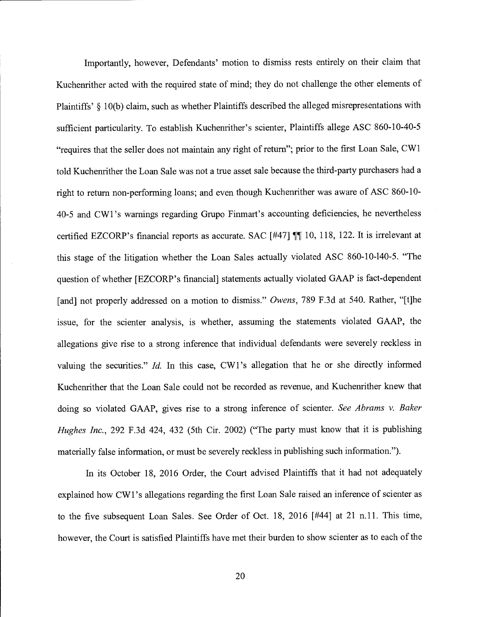Importantly, however, Defendants' motion to dismiss rests entirely on their claim that Kuchenrither acted with the required state of mind; they do not challenge the other elements of Plaintiffs' § 10(b) claim, such as whether Plaintiffs described the alleged misrepresentations with sufficient particularity. To establish Kuchenrither's scienter, Plaintiffs allege ASC 860-10-40-5 "requires that the seller does not maintain any right of return"; prior to the first Loan Sale, CW1 told Kuchenrither the Loan Sale was not a true asset sale because the third-party purchasers had a right to return non-performing loans; and even though Kuchenrither was aware of ASC 860-10- 40-5 and CW1 's warnings regarding Grupo Finmart's accounting deficiencies, he nevertheless certified EZCORP's financial reports as accurate. SAC  $[#47]$  ¶ 10, 118, 122. It is irrelevant at this stage of the litigation whether the Loan Sales actually violated ASC 860-10-140-5. "The question of whether [EZCORP 's financial] statements actually violated GAAP is fact-dependent [and] not properly addressed on a motion to dismiss." Owens, 789 F.3d at 540. Rather, "[t]he issue, for the scienter analysis, is whether, assuming the statements violated GAAP, the allegations give rise to a strong inference that individual defendants were severely reckless in valuing the securities." Id. In this case, CW1's allegation that he or she directly informed Kuchenrither that the Loan Sale could not be recorded as revenue, and Kuchenrither knew that doing so violated GAAP, gives rise to a strong inference of scienter. See Abrams v. Baker Hughes Inc., 292 F.3d 424, 432 (5th Cir. 2002) ("The party must know that it is publishing materially false information, or must be severely reckless in publishing such information.")

In its October 18, 2016 Order, the Court advised Plaintiffs that it had not adequately explained how CW l's allegations regarding the first Loan Sale raised an inference of scienter as to the five subsequent Loan Sales. See Order of Oct. 18, 2016  $[#44]$  at 21 n.11. This time, however, the Court is satisfied Plaintiffs have met their burden to show scienter as to each of the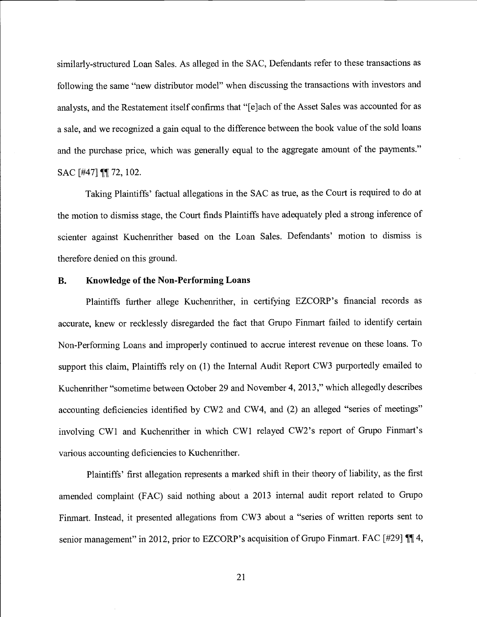similarly-structured Loan Sales. As alleged in the SAC, Defendants refer to these transactions as following the same "new distributor model" when discussing the transactions with investors and analysts, and the Restatement itself confirms that "{e]ach of the Asset Sales was accounted for as a sale, and we recognized a gain equal to the difference between the book value of the sold loans and the purchase price, which was generally equal to the aggregate amount of the payments." SAC [#47] **¶** 72, 102.

Taking Plaintiffs' factual allegations in the SAC as true, as the Court is required to do at the motion to dismiss stage, the Court finds Plaintiffs have adequately pled a strong inference of scienter against Kuchenrither based on the Loan Sales. Defendants' motion to dismiss is therefore denied on this ground.

## B. Knowledge of the Non-Performing Loans

Plaintiffs further allege Kuchenrither, in certifying EZCORP's financial records as accurate, knew or recklessly disregarded the fact that Grupo Finmart failed to identify certain Non-Performing Loans and improperly continued to accrue interest revenue on these loans. To support this claim, Plaintiffs rely on (1) the Internal Audit Report CW3 purportedly emailed to Kuchenrither "sometime between October 29 and November 4, 2013," which allegedly describes accounting deficiencies identified by CW2 and CW4, and (2) an alleged "series of meetings" involving CW1 and Kuchenrither in which CW1 relayed CW2's report of Grupo Finmart's various accounting deficiencies to Kuchenrither.

Plaintiffs' first allegation represents a marked shift in their theory of liability, as the first amended complaint (FAC) said nothing about a 2013 internal audit report related to Grupo Finmart. Instead, it presented allegations from CW3 about a "series of written reports sent to senior management" in 2012, prior to EZCORP's acquisition of Grupo Finmart. FAC [#29]  $\P$ ] 4,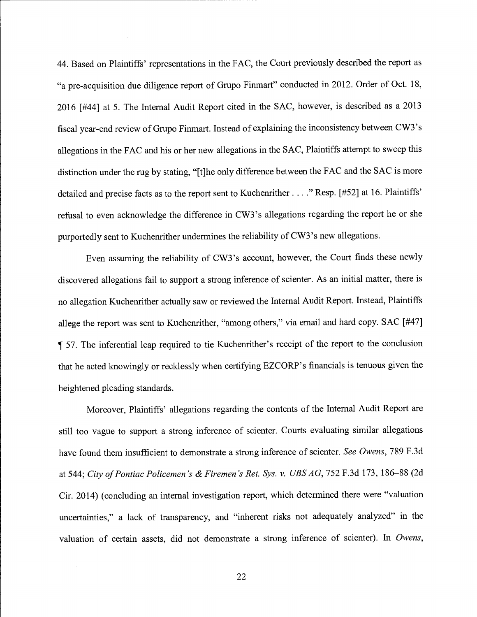44. Based on Plaintiffs' representations in the FAC, the Court previously described the report as "a pre-acquisition due diligence report of Grupo Finmart" conducted in 2012. Order of Oct. 18, 2016 [#44] at 5. The Internal Audit Report cited in the SAC, however, is described as a 2013 fiscal year-end review of Grupo Finmart. Instead of explaining the inconsistency between CW3 's allegations in the FAC and his or her new allegations in the SAC, Plaintiffs attempt to sweep this distinction under the rug by stating, "[t]he only difference between the FAC and the SAC is more detailed and precise facts as to the report sent to Kuchenrither. . . ." Resp. [#52] at 16. Plaintiffs' refusal to even acknowledge the difference in CW3 's allegations regarding the report he or she purportedly sent to Kuchenrither undermines the reliability of CW3 's new allegations.

Even assuming the reliability of CW3's account, however, the Court finds these newly discovered allegations fail to support a strong inference of scienter. As an initial matter, there is no allegation Kuchenrither actually saw or reviewed the Internal Audit Report. Instead, Plaintiffs allege the report was sent to Kuchenrither, "among others," via email and hard copy. SAC [#47] ¶ 57. The inferential leap required to tie Kuchenrither's receipt of the report to the conclusion that he acted knowingly or recklessly when certifying EZCORP's financials is tenuous given the heightened pleading standards.

Moreover, Plaintiffs' allegations regarding the contents of the Internal Audit Report are still too vague to support a strong inference of scienter. Courts evaluating similar allegations have found them insufficient to demonstrate a strong inference of scienter. See Owens, 789 F.3d at 544; City of Pontiac Policemen's & Firemen's Ret. Sys. v. UBSAG, 752 F.3d 173, 186-88 (2d Cir. 2014) (concluding an internal investigation report, which determined there were "valuation uncertainties," a lack of transparency, and "inherent risks not adequately analyzed" in the valuation of certain assets, did not demonstrate a strong inference of scienter). In Owens,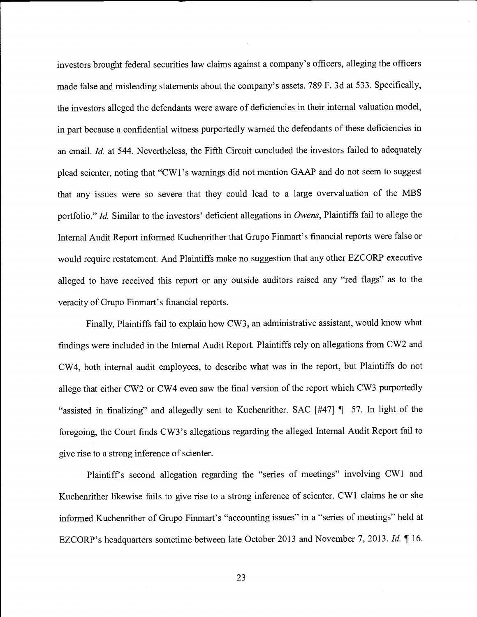investors brought federal securities law claims against a company's officers, alleging the officers made false and misleading statements about the company's assets. 789 F. 3d at 533. Specifically, the investors alleged the defendants were aware of deficiencies in their internal valuation model, in part because a confidential witness purportedly warned the defendants of these deficiencies in an email. Id. at 544. Nevertheless, the Fifth Circuit concluded the investors failed to adequately plead scienter, noting that "CW1 's warnings did not mention GAAP and do not seem to suggest that any issues were so severe that they could lead to a large overvaluation of the MBS portfolio." Id. Similar to the investors' deficient allegations in Owens, Plaintiffs fail to allege the Internal Audit Report informed Kuchenrither that Grupo Finmart's financial reports were false or would require restatement. And Plaintiffs make no suggestion that any other EZCORP executive alleged to have received this report or any outside auditors raised any "red flags" as to the veracity of Grupo Finmart's financial reports.

Finally, Plaintiffs fail to explain how CW3, an administrative assistant, would know what findings were included in the Internal Audit Report. Plaintiffs rely on allegations from CW2 and CW4, both internal audit employees, to describe what was in the report, but Plaintiffs do not allege that either CW2 or CW4 even saw the final version of the report which CW3 purportedly "assisted in finalizing" and allegedly sent to Kuchenrither. SAC [#47] ¶ 57. In light of the foregoing, the Court finds CW3 's allegations regarding the alleged Internal Audit Report fail to give rise to a strong inference of scienter.

Plaintiff's second allegation regarding the "series of meetings" involving CW1 and Kuchenrither likewise fails to give rise to a strong inference of scienter. CW1 claims he or she informed Kuchenrither of Grupo Finmart's "accounting issues" in a "series of meetings" held at EZCORP's headquarters sometime between late October 2013 and November 7, 2013. Id. ¶ 16.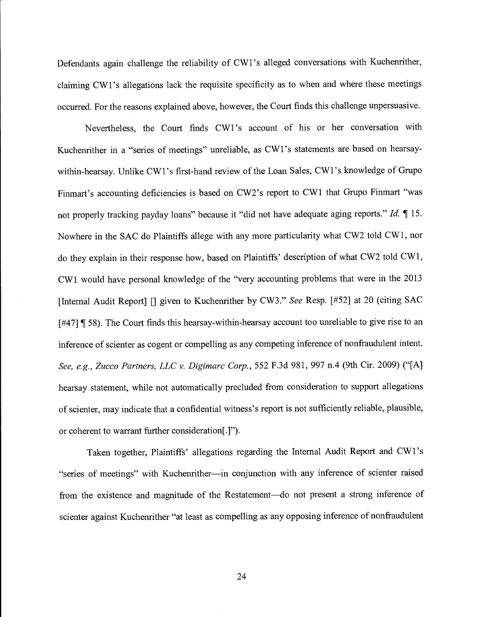Defendants again challenge the reliability of CW1 's alleged conversations with Kuchenrither, claiming CW1 's allegations lack the requisite specificity as to when and where these meetings occurred. For the reasons explained above, however, the Court finds this challenge unpersuasive.

Nevertheless, the Court finds CW1 's account of his or her conversation with Kuchenrither in a "series of meetings" unreliable, as CW l's statements are based on hearsaywithin-hearsay. Unlike CW1 's first-hand review of the Loan Sales, CW1 's knowledge of Grupo Finmart's accounting deficiencies is based on CW2's report to CW1 that Grupo Finmart "was not properly tracking payday loans" because it "did not have adequate aging reports." Id.  $\P$  15. Nowhere in the SAC do Plaintiffs allege with any more particularity what CW2 told CW1, nor do they explain in their response how, based on Plaintiffs' description of what CW2 told CW1, CW1 would have personal knowledge of the "very accounting problems that were in the 2013 [Internal Audit Report] [] given to Kuchenrither by CW3." See Resp. [#52] at 20 (citing SAC [#47] **[58]**. The Court finds this hearsay-within-hearsay account too unreliable to give rise to an inference of scienter as cogent or compelling as any competing inference of nonfraudulent intent. See, e.g., Zucco Partners, LLC v. Digimarc Corp., 552 F.3d 981, 997 n.4 (9th Cir. 2009) ("[A] hearsay statement, while not automatically precluded from consideration to support allegations of scienter, may indicate that a confidential witness's report is not sufficiently reliable, plausible, or coherent to warrant further consideration[.]").

Taken together, Plaintiffs' allegations regarding the Internal Audit Report and CW1 's "series of meetings" with Kuchenrither-in conjunction with any inference of scienter raised from the existence and magnitude of the Restatement—do not present a strong inference of scienter against Kuchenrither "at least as compelling as any opposing inference of nonfraudulent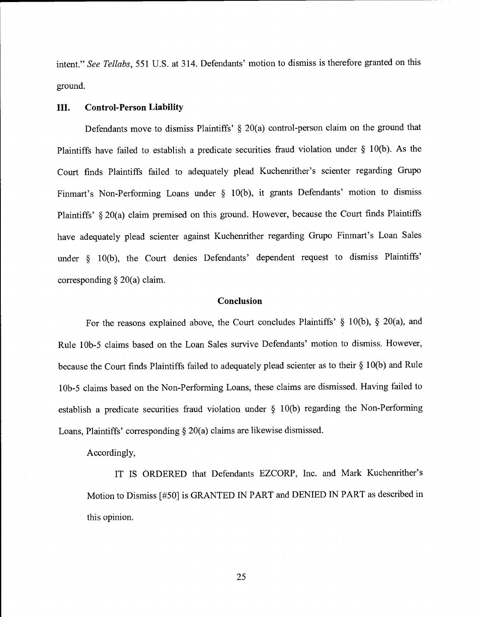intent." See Tellabs, 551 U.S. at 314. Defendants' motion to dismiss is therefore granted on this ground.

#### III. Control-Person Liability

Defendants move to dismiss Plaintiffs' § 20(a) control-person claim on the ground that Plaintiffs have failed to establish a predicate securities fraud violation under § 10(b). As the Court finds Plaintiffs failed to adequately plead Kuchenrither's scienter regarding Grupo Finmart's Non-Performing Loans under § 10(b), it grants Defendants' motion to dismiss Plaintiffs' § 20(a) claim premised on this ground. However, because the Court finds Plaintiffs have adequately plead scienter against Kuchenrither regarding Grupo Finmart's Loan Sales under § 10(b), the Court denies Defendants' dependent request to dismiss Plaintiffs' corresponding  $\S 20(a)$  claim.

### Conclusion

For the reasons explained above, the Court concludes Plaintiffs' § 10(b), § 20(a), and Rule lOb-5 claims based on the Loan Sales survive Defendants' motion to dismiss. However, because the Court finds Plaintiffs failed to adequately plead scienter as to their § 10(b) and Rule <sup>1</sup>Ob-5 claims based on the Non-Performing Loans, these claims are dismissed. Having failed to establish a predicate securities fraud violation under § 10(b) regarding the Non-Performing Loans, Plaintiffs' corresponding § 20(a) claims are likewise dismissed.

Accordingly,

IT IS ORDERED that Defendants EZCORP, Inc. and Mark Kuchenrither's Motion to Dismiss [#50] is GRANTED IN PART and DENIED IN PART as described in this opinion.